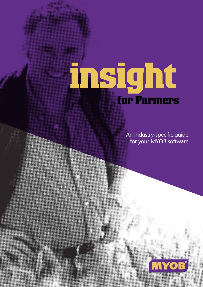# **insight for Farmers**

An industry-specific guide for your MYOB software

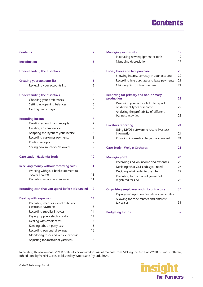# **Contents**

| <b>Contents</b>                                  | 2  |
|--------------------------------------------------|----|
| <b>Introduction</b>                              | 3  |
| <b>Understanding the essentials</b>              | 5  |
| <b>Creating your accounts list</b>               | 5  |
| Reviewing your accounts list                     | 5  |
| <b>Understanding the essentials</b>              | 6  |
| Checking your preferences                        | 6  |
| Setting up opening balances                      | 6  |
| Getting ready to go                              | 6  |
| <b>Recording income</b>                          | 7  |
| Creating accounts and receipts                   | 7  |
| Creating an item invoice                         | 7  |
| Adapting the layout of your invoice              | 8  |
| Recording customer payments                      | 8  |
| Printing receipts                                | 9  |
| Seeing how much you're owed                      | 9  |
| Case study - Hacienda Studs                      | 10 |
| <b>Receiving money without recording sales</b>   | 11 |
| Working with your bank statement to              |    |
| record income                                    | 11 |
| Recording rebates and subsidies                  | 11 |
| Recording cash that you spend before it's banked | 12 |
| <b>Dealing with expenses</b>                     | 13 |
| Recording cheques, direct debits or              |    |
| electronic payments                              | 13 |
| Recording supplier invoices                      | 14 |
| Paying suppliers electronically                  | 14 |
| Dealing with credit cards                        | 15 |
| Keeping tabs on petty cash                       | 15 |
| Recording personal drawings                      | 16 |
| Monitoring truck and vehicle expenses            | 16 |
| Adjusting for abattoir or yard fees              | 17 |

| <b>Managing your assets</b>                                            | 19 |
|------------------------------------------------------------------------|----|
| Purchasing new equipment or tools                                      | 19 |
| Managing depreciation                                                  | 19 |
|                                                                        |    |
| Loans, leases and hire purchase                                        | 20 |
| Showing interest correctly in your accounts                            | 20 |
| Recording hire purchase and lease payments                             | 21 |
| Claiming GST on hire purchase                                          | 21 |
| <b>Reporting for primary and non-primary</b>                           |    |
| production                                                             | 22 |
| Designing your accounts list to report<br>on different types of income | 22 |
| Analysing the profitability of different                               |    |
| business activities                                                    | 23 |
| <b>Livestock reporting</b>                                             | 24 |
| Using MYOB software to record livestock                                |    |
| information                                                            | 24 |
| Providing information to your accountant                               | 24 |
| <b>Case Study - Wolgin Orchards</b>                                    | 25 |
| <b>Managing GST</b>                                                    | 26 |
| Recording GST on income and expenses                                   | 26 |
| Deciding what GST codes you need                                       | 26 |
| Deciding what codes to use when                                        | 27 |
| Recording transactions if you're not                                   |    |
| registered for GST                                                     | 28 |
| <b>Organising employees and subcontractors</b>                         | 30 |
| Paying employees on bin rates or piece rates                           | 30 |
| Allowing for zone rebates and different                                |    |
| tax scales                                                             | 31 |
| <b>Budgeting for tax</b>                                               | 32 |

In creating this document, MYOB gratefully acknowledges use of material from Making the Most of MYOB business software, 6th edition, by Veechi Curtis, published by Woodslane Pty Ltd, 2004.

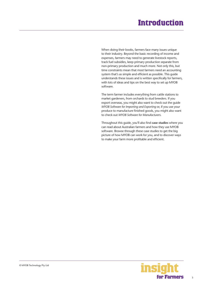# **Introduction**

<span id="page-2-0"></span>When doing their books, farmers face many issues unique to their industry. Beyond the basic recording of income and expenses, farmers may need to generate livestock reports, track fuel subsidies, keep primary production separate from non-primary production and much more. Not only this, but time constraints mean that most farmers need an accounting system that's as simple and efficient as possible. This guide understands these issues and is written specifically for farmers, with lots of ideas and tips on the best way to set up MYOB software.

The term farmer includes everything from cattle stations to market gardeners, from orchards to stud breeders. If you export overseas, you might also want to check out the guide *MYOB Software for Importing and Exporting* or, if you use your produce to manufacture finished goods, you might also want to check out *MYOB Software for Manufacturers.*

Throughout this guide, you'll also find **case studies** where you can read about Australian farmers and how they use MYOB software. Browse through these case studies to get the big picture of how MYOB can work for you, and to discover ways to make your farm more profitable and efficient.

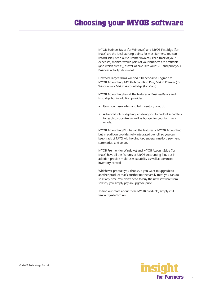# **Choosing your MYOB software**

MYOB BusinessBasics (for Windows) and MYOB FirstEdge (for Macs) are the ideal starting points for most farmers. You can record sales, send out customer invoices, keep track of your expenses, monitor which parts of your business are profitable (and which aren't!), as well as calculate your GST and print your Business Activity Statement.

However, larger farms will find it beneficial to upgrade to MYOB Accounting, MYOB Accounting Plus, MYOB Premier (for Windows) or MYOB AccountEdge (for Macs).

MYOB Accounting has all the features of BusinessBasics and FirstEdge but in addition provides:

- Item purchase orders and full inventory control.
- Advanced job budgeting, enabling you to budget separately for each cost centre, as well as budget for your farm as a whole.

MYOB Accounting Plus has all the features of MYOB Accounting but in addition provides fully integrated payroll, so you can keep track of PAYG withholding tax, superannuation, payment summaries, and so on.

MYOB Premier (for Windows) and MYOB AccountEdge (for Macs) have all the features of MYOB Accounting Plus but in addition provide multi-user capability as well as advanced inventory control.

Whichever product you choose, if you want to upgrade to another product that's 'further up the family tree', you can do so at any time. You don't need to buy the new software from scratch, you simply pay an upgrade price.

To find out more about these MYOB products, simply visit **www.myob.com.au** .

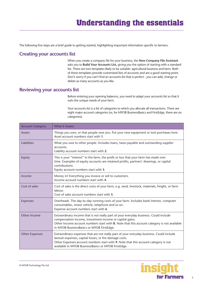<span id="page-4-0"></span>The following five steps are a brief guide to getting started, highlighting important information specific to farmers.

# **Creating your accounts list**

When you create a company file for your business, the **New Company File Assistant**  asks you to **Build Your Accounts List**, giving you the option of starting with a standard list. There are two templates likely to be suitable: agricultural business and farm. Both of these templates provide customised lists of accounts and are a good starting point. Don't worry if you can't find an accounts list that is perfect - you can add, change or delete as many accounts as you like.

## **Reviewing your accounts list**

Before entering your opening balances, you need to adapt your accounts list so that it suits the unique needs of your farm.

Your accounts list is a list of categories to which you allocate all transactions. There are eight major account categories (or, for MYOB BusinessBasics and FirstEdge, there are six categories).

| <b>Account Category</b> | What it means                                                                                                                                                                                                                                                                                     |
|-------------------------|---------------------------------------------------------------------------------------------------------------------------------------------------------------------------------------------------------------------------------------------------------------------------------------------------|
| Assets                  | Things you own, or that people owe you. Put your new equipment or tool purchases here.<br>Asset account numbers start with 1.                                                                                                                                                                     |
| Liabilities             | What you owe to other people. Includes loans, taxes payable and outstanding supplier<br>accounts.<br>Liability account numbers start with 2.                                                                                                                                                      |
| Equity                  | This is your "interest" in the farm, the profit or loss that your farm has made over<br>time. Examples of equity accounts are retained profits, partners' drawings, or capital<br>contributions.<br>Equity account numbers start with 3.                                                          |
| Income                  | Money in! Everything you invoice or sell to customers.<br>Income account numbers start with 4.                                                                                                                                                                                                    |
| Cost of sales           | Cost of sales is the direct costs of your farm, e.g. seed, livestock, materials, freight, or farm<br>labour.<br>Cost of sales account numbers start with 5.                                                                                                                                       |
| Expenses                | Overheads. The day-to-day running costs of your farm. Includes bank interest, computer<br>consumables, motor vehicle, telephone and so on.<br>Expense account numbers start with 6.                                                                                                               |
| Other Income            | Extraordinary income that is not really part of your everyday business. Could include<br>compensation income, investment income or capital gains.<br>Other Income account numbers start with 8. Note that this account category is not available<br>in MYOB BusinessBasics or MYOB FirstEdge.     |
| Other Expenses          | Extraordinary expenses that are not really part of your everyday business. Could include<br>lawsuit expenses, capital losses, or fire damage costs.<br>Other Expenses account numbers start with 9. Note that this account category is not<br>available in MYOB BusinessBasics or MYOB FirstEdge. |

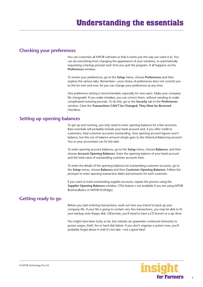## <span id="page-5-0"></span>**Checking your preferences**

You can customise all MYOB software so that it works just the way you want it to. You can do everything from changing the appearance of your windows, to automatically requesting a backup prompt each time you quit the program. It all happens via the **Preferences** window.

To review your preferences, go to the **Setup** menu, choose **Preferences** and then explore the various tabs. Remember—your choice of preferences does not commit you to this for ever and ever, for you can change your preferences at any time.

One preference setting is recommended, especially for new users. Make your company file *changeable*. If you make mistakes, you can correct them, without needing to make complicated reversing journals. To do this, go to the **Security** tab in the **Preferences**  window. Clear the **Transactions CAN'T be Changed; They Must be Reversed**  checkbox.

## **Setting up opening balances**

To get up and running, you only need to enter opening balances for a few accounts. Bare essentials will probably include your bank account and, if you offer credit to customers, total customer accounts outstanding. Your opening account figures won't balance, but this out of balance amount simply goes to the Historical Balancing account. You or your accountant can fix this later.

To enter opening account balances, go to the **Setup** menu, choose **Balances**, and then choose **Account Opening Balances**. Enter the opening balance of your bank account and the total value of outstanding customer accounts here.

To enter the details of the opening balances for outstanding customer accounts, go to the **Setup** menu, choose **Balances** and then **Customer Opening Balances**. Follow the prompts to enter opening transaction dates and amounts for each customer.

If you want to track outstanding supplier accounts, repeat this process using the **Supplier Opening Balances** window. (This feature s not available if you are using MYOB BusinessBasics or MYOB FirstEdge).

# **Getting ready to go**

Before you start entering transactions, work out how you intend to back up your company file. If your file is going to contain very few transactions, you may be able to fit your backup onto floppy disk. Otherwise, you'll need to have a CD burner or a zip drive.

You might have been lucky so far, but *nobody* can guarantee continued immunity to power surges, theft, fire or hard disk failure. If you don't organise a system now, you'll probably forget about it until it's too late—not a good idea!

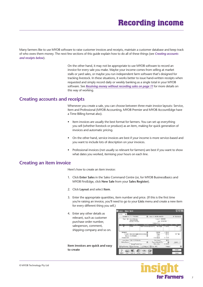<span id="page-6-0"></span>Many farmers like to use MYOB software to raise customer invoices and receipts, maintain a customer database and keep track of who owes them money. The next few sections of this guide explain how to do all of these things (see *Creating accounts and receipts below*).

> On the other hand, it may not be appropriate to use MYOB software to record an invoice for every sale you make. Maybe your income comes from selling at market stalls or yard sales, or maybe you run independent farm software that's designed for tracking livestock. In these situations, it works better to issue hand-written receipts when requested and simply record daily or weekly banking as a single total in your MYOB software. See *[Receiving money without recording sales on page 11](#page-10-0)* for more details on this way of working.

## **Creating accounts and receipts**

Whenever you create a sale, you can choose between three main invoice layouts: Service, Item and Professional (MYOB Accounting, MYOB Premier and MYOB AccountEdge have a Time Billing format also).

- Item invoices are usually the best format for farmers. You can set up everything you sell (whether livestock or produce) as an item, making for quick generation of invoices and automatic pricing.
- On the other hand, service invoices are best if your income is more service-based and you want to include lots of description on your invoices.
- Professional invoices (not usually so relevant for farmers) are best if you want to show what dates you worked, itemising your hours on each line.

## **Creating an item invoice**

Here's how to create an item invoice:

- 1. Click **Enter Sales** in the Sales Command Centre (or, for MYOB BusinessBasics and MYOB FirstEdge, click **New Sale** from your **Sales Register**).
- 2. Click **Layout** and select **Item**.
- 3. Enter the appropriate quantities, item number and price. (If this is the first time you're raising an invoice, you'll need to go to your **Lists** menu and create a new item for every different thing you sell.)
- 4. Enter any other details as relevant, such as customer purchase order number, salesperson, comment, shipping company and so on.

**Item invoices are quick and easy to create**



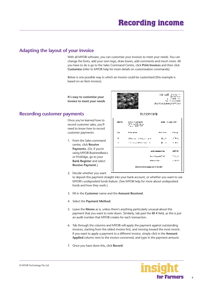# <span id="page-7-0"></span>**Adapting the layout of your invoice**

With all MYOB software, you can customise your invoices to meet your needs. You can change the fonts, add your own logo, draw boxes, add comments and much more. All you have to do is go to the Sales Command Centre, click **Print Invoices** and then click **Customise** (refer to MYOB help for more details on customisation commands).

Below is one possible way in which an invoice could be customised (this example is based on an Item invoice).

**It's easy to customise your invoice to meet your needs**

## **Recording customer payments**

Once you've learned how to record customer sales, you'll need to know how to record customer payments:

1. From the Sales command centre, click **Receive Payments**. (Or, if you're using MYOB BusinessBasics or FirstEdge, go to your **Bank Register** and select **Receive Payment**.)



2. Decide whether you want

to deposit this payment straight into your bank account, or whether you want to use MYOB's undeposited funds feature. (See MYOB help for more about undeposited funds and how they work.)

- 3. Fill in the **Customer** name and the **Amount Received**.
- 4. Select the **Payment Method**.
- 5. Leave the **Memo** as is, unless there's anything particularly unusual about this payment that you want to note down. Similarly, tab past the **ID #** field, as this is just an audit number that MYOB creates for each transaction.
- 6. Tab through the columns and MYOB will apply the payment against outstanding invoices, starting from the oldest invoice first, and moving toward the most recent. If you want to apply a payment to a different invoice, simply click in the **Amount Applied** column next to the invoice concerned, and type in the payment amount.
- 7. Once you have done this, click **Record**.

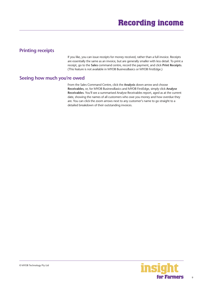# <span id="page-8-0"></span>**Printing receipts**

If you like, you can issue receipts for money received, rather than a full invoice. Receipts are essentially the same as an invoice, but are generally smaller with less detail. To print a receipt, go to the **Sales** command centre, record the payment, and click **Print Receipts**. (This feature is not available in MYOB BusinessBasics or MYOB FirstEdge.)

## **Seeing how much you're owed**

From the Sales Command Centre, click the **Analysis** down-arrow and choose **Receivables**, or, for MYOB BusinessBasics and MYOB FirstEdge, simply click **Analyse Receivables**. You'll see a summarised Analyse Receivables report, aged as at the current date, showing the names of all customers who owe you money and how overdue they are. You can click the zoom arrows next to any customer's name to go straight to a detailed breakdown of their outstanding invoices.

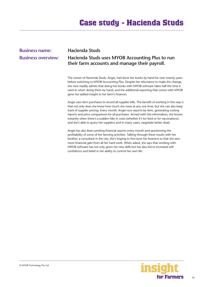# <span id="page-9-0"></span>**Business name: Hacienda Studs**

# **Business overview: Hacienda Studs uses MYOB Accounting Plus to run their farm accounts and manage their payroll.**

The owner of Hacienda Studs, Angie, had done her books by hand for over twenty years before switching to MYOB Accounting Plus. Despite her reluctance to make the change, she now readily admits that doing her books with MYOB software takes half the time it used to when doing them by hand, and the additional reporting that comes with MYOB gives her added insight to her farm's finances.

Angie uses item purchases to record all supplier bills. The benefit of working in this way is that not only does she know how much she owes at any one time, but she can also keep track of supplier pricing. Every month, Angie runs reports by item, generating costing reports and price comparisons for all purchases. Armed with this information, she knows instantly when there's a sudden hike in costs (whether it's for feed or for vaccinations) and she's able to query her suppliers and in many cases, negotiate better deals.

Angie has also been printing financial reports every month and questioning the profitability of some of her farming activities. Talking through these results with her brother, a consultant in the city, she's hoping to fine-tune her business so that she sees more financial gain from all her hard work. When asked, she says that working with MYOB software has not only given her new skills but has also led to increased selfconfidence and belief in her ability to control her own life.

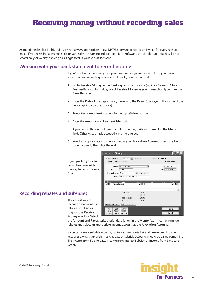<span id="page-10-0"></span>As mentioned earlier in this guide, it's not always appropriate to use MYOB software to record an invoice for every sale you make. If you're selling at market stalls or yard sales, or running independent farm software, the simplest approach will be to record daily or weekly banking as a single total in your MYOB software.

# **Working with your bank statement to record income**

If you're not recording every sale you make, rather you're working from your bank statement and recording every deposit made, here's what to do:

- 1. Go to **Receive Money** in the **Banking** command centre (or, if you're using MYOB BusinessBasics or FirstEdge, select **Receive Money** as your transaction type from the **Bank Register**).
- 2. Enter the **Date** of the deposit and, if relevant, the **Payor** (the Payor is the name of the person giving you the money).
- 3. Select the correct bank account in the top left-hand corner.
- 4. Enter the **Amount** and **Payment Method**.
- 5. If you reckon this deposit needs additional notes, write a comment in the **Memo** field. Otherwise, simply accept the memo offered.
- 6. Select an appropriate income account as your **Allocation Account,** check the Tax code is correct, then click **Record**.

**If you prefer, you can record income without having to record a sale first**

#### **Kecefve Maney Steadproof** Terr El elevent bare – am Good and Ordinate collabor **RIGHT Search Advisor and**  $t = 12766000$ ina Control <mark>VIII s</mark> Projektet av Three V Max Texas and award **Service W.T.** ಷ **Nov Column** an s  $\overline{a}$  . And the final and in a 120930 Top Techno **IN 44.11**  $101$ 88 - 1 Kin 1  $(0) - 11 = 0$  $5850$ 而於 - 56  $\overline{N+1}$  $\overline{C_{\mathbf{p}}$  and

# **Recording rebates and subsidies**

The easiest way to record government fuel rebates or subsidies is to go to the **Receive Money** window. Select

the **Amount** and **Payor**, write a brief description in the **Memo** (e.g. 'income from fuel rebate) and select an appropriate income account as the **Allocation Account**.

If you can't see a suitable account, go to your Accounts List and create one. Income accounts always start with **4-** and rebate or subsidy accounts should be called something like Income from Fuel Rebate, Income from Interest Subsidy or Income from Landcare Grant.

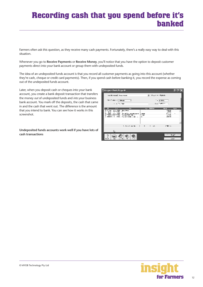# <span id="page-11-0"></span>**Recording cash that you spend before it's banked**

Farmers often ask this question, as they receive many cash payments. Fortunately, there's a really easy way to deal with this situation.

Whenever you go to **Receive Payments** or **Receive Money**, you'll notice that you have the option to deposit customer payments direct into your bank account or group them with undeposited funds.

The idea of an undeposited funds account is that you record all customer payments as going into this account (whether they're cash, cheque or credit card payments). Then, if you spend cash before banking it, you record the expense as coming out of the undeposited funds account.

Later, when you deposit cash or cheques into your bank account, you create a bank deposit transaction that transfers the money *out* of undeposited funds and *into* your business bank account. You mark off the deposits, the cash that came in and the cash that went out. The difference is the amount that you intend to bank. You can see how it works in this screenshot.

**Undeposited funds accounts work well if you have lots of cash transactions**

| To Program Danis Reports                               |                                                                      |              |                          |             |
|--------------------------------------------------------|----------------------------------------------------------------------|--------------|--------------------------|-------------|
| and hand been discount                                 |                                                                      | 同一 むしゃ ニュアのの |                          |             |
| des Trobas (CIMAR                                      |                                                                      |              | $\sim$ 3 $km$ .          |             |
| <b>COLLEGE SHOW</b>                                    |                                                                      |              | <b>LOCATION</b>          |             |
| <b>AT</b><br>п.                                        | $\sim$ , and the second second                                       |              | $\overline{\phantom{0}}$ | <b>TILE</b> |
| Any Print<br>÷<br>41, 1996<br>                         |                                                                      |              | eww<br>45.75%            |             |
| <b>LA MINE ANNIS</b><br>from this case of<br>эштэг сол | $-$<br><b>CTP</b><br>٠.                                              |              | <b>.</b><br>-1556<br>法自由 | ٠           |
|                                                        |                                                                      |              |                          |             |
|                                                        |                                                                      |              |                          |             |
| No de la Caracción de                                  | $\begin{array}{ccc} \n & \rightarrow & \rightarrow & \n \end{array}$ |              | 200011                   |             |
| ι.                                                     |                                                                      |              |                          |             |
|                                                        |                                                                      |              |                          |             |
| ×.<br>$I_{r,l}$<br>                                    |                                                                      |              |                          | $-11.7$     |

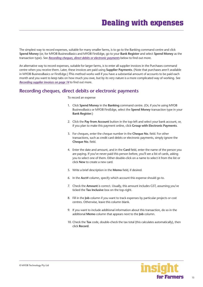<span id="page-12-0"></span>The simplest way to record expenses, suitable for many smaller farms, is to go to the Banking command centre and click **Spend Money** (or, for MYOB BusinessBasics and MYOB FirstEdge, go to your **Bank Register** and select **Spend Money** as the transaction type). See *Recording cheques, direct debits or electronic payments* below to find out more.

An alternative way to record expenses, suitable for larger farms, is to enter all supplier invoices in the Purchases command centre when you receive them. Later, these invoices are paid using **Supplier Payments**. (Note that purchases aren't available in MYOB BusinessBasics or FirstEdge.) **T**his method works well if you have a substantial amount of accounts to be paid each month and you want to keep tabs on how much you owe, but by its very nature is a more complicated way of working. See *[Recording supplier invoices on page 14](#page-13-0)* to find out more.

# **Recording cheques, direct debits or electronic payments**

#### To record an expense

- 1. Click **Spend Money** in the **Banking** command centre. (Or, if you're using MYOB BusinessBasics or MYOB FirstEdge, select the **Spend Money** transaction type in your **Bank Register**.)
- 2. Click the **Pay from Account** button in the top-left and select your bank account, or, if you plan to make this payment online, click **Group with Electronic Payments**.
- 3. For cheques, enter the cheque number in the **Cheque No.** field. For other transactions, such as credit card debits or electronic payments, simply ignore the **Cheque No.** field.
- 4. Enter the date and amount, and in the **Card** field, enter the name of the person you are paying. If you've never paid this person before, you'll see a list of cards, asking you to select one of them. Either double-click on a name to select it from the list or click **New** to create a new card.
- 5. Write a brief description in the **Memo** field, if desired.
- 6. In the **Acct#** column, specify which account this expense should go to.
- 7. Check the **Amount** is correct. Usually, this amount includes GST, assuming you've ticked the **Tax Inclusive** box on the top-right.
- 8. Fill in the **Job** column if you want to track expenses by particular projects or cost centres. Otherwise, leave this column blank.
- 9. If you want to include additional information about this transaction, do so in the additional **Memo** column that appears next to the **Job** column.
- 10. Check the **Tax** code, double-check the tax total (this calculates automatically), then click **Record**.

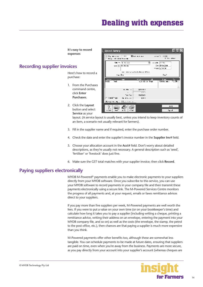# **Dealing with expenses**

**It's easy to record expenses**

# <span id="page-13-0"></span>**Recording supplier invoices**

Here's how to record a purchase:

- 1. From the Purchases command centre, click **Enter Purchases**.
- $\zeta_{\rm BC} \sim \overline{\zeta_{\rm AC} \chi_{\rm CMB}}$  $11.000$   $\sqrt{1.241}$ Ħ.  $200 [299, 200]$ 1980<u>1200</u> work and lest above their w cas lifes المسالا ilicae<br>Volticaes tar<br>NGC 2008 Viti Pasa  $\overline{\mathbf{H}}$  $4.41 - 1$ portuut. isa Ne 100000 El Annabi‴rree  $\mathbf{a}_i$  and  $\mathbf{a}_j$  $101$  $00 - 0 = -1$ 88 Link Inc.  $222$ шũ  $\overline{r}$  $\epsilon_{\rm p}$  . A

Else en an

 $\sim 0.5 \times 10^{11}$ 

...<br>⊡ika akima

2. Click the **Layout**  button and select **Service** as your

> layout. (A service layout is usually best, unless you intend to keep inventory counts of an item, a scenario not usually relevant for farmers).

3. Fill in the supplier name and if required, enter the purchase order number.

Spend Maney

.<br>Pigawakan Tatul<br>Dina dalam Karak

- 4. Check the date and enter the supplier's invoice number in the **Supplier Inv#** field.
- 5. Choose your allocation account in the **Acct#** field. Don't worry about detailed descriptions, as they're usually not necessary. A general description such as 'seed', 'fertiliser' or 'livestock' does just fine.
- 6. Make sure the GST total matches with your supplier invoice; then click **Record**.

## **Paying suppliers electronically**

MYOB M-Powered® payments enable you to make electronic payments to your suppliers directly from your MYOB software. Once you subscribe to this service, you can use your MYOB software to record payments in your company file and then transmit these payments electronically using a secure link. The M-Powered Services Centre monitors the progress of all payments and, at your request, emails or faxes remittance advices direct to your suppliers.

If you pay more than five suppliers per week, M-Powered payments are well worth the fees. If you were to put a value on your own time (or on your bookkeeper's time) and calculate how long it takes you to pay a supplier (including writing a cheque, printing a remittance advice, writing their address on an envelope, entering the payment into your MYOB company file, and so on) as well as the costs (the envelope, the stamp, the petrol to the post office, etc.), then chances are that paying a supplier is much more expensive than you think.

M-Powered payments offer other benefits too, although these are somewhat less tangible. You can schedule payments to be made at future dates, ensuring that suppliers are paid on time, even when you're away from the business. Payments are more secure, as you pay directly from your account into your supplier's account (whereas cheques are

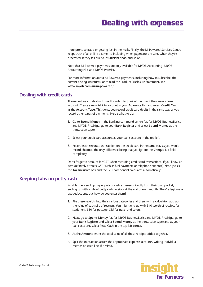<span id="page-14-0"></span>more prone to fraud or getting lost in the mail). Finally, the M-Powered Services Centre keeps track of all online payments, including when payments are sent, when they're processed, if they fail due to insufficient finds, and so on.

Note that M-Powered payments are only available for MYOB Accounting, MYOB Accounting Plus and MYOB Premier.

For more information about M-Powered payments, including how to subscribe, the current pricing structures, or to read the Product Disclosure Statement, see **www.myob.com.au/m-powered/** .

## **Dealing with credit cards**

The easiest way to deal with credit cards is to think of them as if they were a bank account. Create a new liability account in your **Accounts List** and select **Credit Card**  as the **Account Type**. This done, you record credit card debits in the same way as you record other types of payments. Here's what to do:

- 1. Go to **Spend Money** in the Banking command centre (or, for MYOB BusinessBasics and MYOB FirstEdge, go to your **Bank Register** and select **Spend Money** as the transaction type).
- 2. Select your credit card account as your bank account in the top left.
- 3. Record each separate transaction on the credit card in the same way as you would record cheques, the only difference being that you ignore the **Cheque No** field completely.

Don't forget to account for GST when recording credit card transactions. If you know an item definitely attracts GST (such as fuel payments or telephone expense), simply click the **Tax Inclusive** box and the GST component calculates automatically.

# **Keeping tabs on petty cash**

Most farmers end up paying lots of cash expenses directly from their own pocket, ending up with a pile of petty cash receipts at the end of each month. They're legitimate tax deductions, but how do you enter them?

- 1. Pile these receipts into their various categories and then, with a calculator, add up the value of each pile of receipts. You might end up with \$40 worth of receipts for stationery, \$50 for postage, \$15 for travel and so on.
- 2. Next, go to **Spend Money** (or, for MYOB BusinessBasics and MYOB FirstEdge, go to your **Bank Register** and select **Spend Money** as the transaction type) and as your bank account, select Petty Cash in the top left corner.
- 3. As the **Amount**, enter the total value of all these receipts added together.
- 4. Split the transaction across the appropriate expense accounts**,** writing individual memos on each line, if desired.

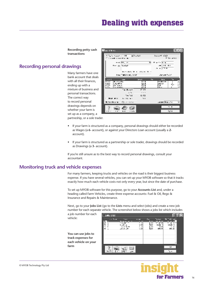# **Dealing with expenses**

**Recording petty cash transactions**

# <span id="page-15-0"></span>**Recording personal drawings**

Many farmers have one bank account that deals with all their finances, ending up with a mixture of business and personal transactions. The correct way to record personal drawings depends on whether your farm is set up as a company, a partneship, or a sole trader.

| <b>Ellopa d'Avrey</b>                                                                  |                                                               |                                |                                              | 同回风                 |
|----------------------------------------------------------------------------------------|---------------------------------------------------------------|--------------------------------|----------------------------------------------|---------------------|
| Tulk News LETK<br>i sa mata sa sana da maka                                            | $\mathbf{z}$ , $\mathbf{z}$ , $\mathbf{z}$                    |                                | 2000 vs. (* 1932)                            | <b>Milke write:</b> |
| <b>Konne Trade F</b>                                                                   | $m \in [0.1, 10]$                                             |                                | ы<br>in a chillena<br>$-1.15 - 1.1$<br>あっ 初生 |                     |
|                                                                                        | terminate the secretaries their<br>Investment and a supported |                                | <b>Convert Co.CO</b>                         |                     |
| AO I<br><b>1-1 1 1</b><br><b>Illustration</b>                                          | <b>Section</b>                                                | <b>CANDR</b><br>$\overline{a}$ | 135<br>thre-<br><b>Fability</b>              |                     |
| tiko <del>e</del> lek<br>UW.<br>62.03<br>fering er<br><b>LING</b><br><b>London Los</b> |                                                               | МŶ<br><b>PH</b>                | kanaan i<br>r –l<br>ina sa                   |                     |
|                                                                                        | Tag Shaw L                                                    | n tr                           |                                              |                     |
|                                                                                        | $\sim$                                                        | $<$ $<$ $>$                    |                                              |                     |
|                                                                                        | Tour Trid                                                     | 12,500                         |                                              |                     |
| 法经济 的复数人                                                                               | 11.14.44                                                      | -11                            |                                              |                     |
| (ЮАсанкаты 19) дең жете                                                                |                                                               |                                | Last met Historic Trick                      | ۰                   |
| $\cdot$ .<br>. .                                                                       | - 1111<br>. .                                                 |                                | $\cdots$<br>Kansa                            |                     |

- If your farm is structured as a company, personal drawings should either be recorded as Wages (a **6-** account), or against your Directors Loan account (usually a **2**  account).
- If your farm is structured as a partnership or sole trader, drawings should be recorded as Drawings (a **3-** account).

If you're still unsure as to the best way to record personal drawings, consult your accountant.

# **Monitoring truck and vehicle expenses**

For many farmers, keeping trucks and vehicles on the road is their biggest business expense. If you have several vehicles, you can set up your MYOB software so that it tracks exactly how much each vehicle costs not only every year, but since the date of purchase.

To set up MYOB software for this purpose, go to your **Accounts List** and, under a heading called Farm Vehicles, create three expense accounts: Fuel & Oil, Rego & Insurance and Repairs & Maintenance.

Next, go to your **Jobs List** (go to the **Lists** menu and select Jobs) and create a new job number for each separate vehicle. The screenshot below shows a jobs list which includes

a job number for each vehicle:

**You can use jobs to track expenses for each vehicle on your farm**



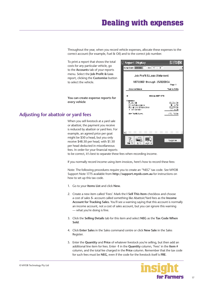<span id="page-16-0"></span>Throughout the year, when you record vehicle expenses**,** allocate these expenses to the correct account (for example, Fuel & Oil) and to the correct job number.

To print a report that shows the total costs for any particular vehicle, go to the **Accounts** tab of your reports menu. Select the **Job Profit & Loss**  report, clicking the **Customise** button to select the vehicle.

**You can create expense reports for every vehicle**

# **Adjusting for abattoir or yard fees**

When you sell livestock at a yard sale or abattoir, the payment you receive is reduced by abattoir or yard fees. For example, an agreed price per goat might be \$50 a head, but you only receive \$48.50 per head, with \$1.50 per head deducted in miscellaneous fees. In order for your financial reports

| <b>Report Display</b>                                                               | E E                                    |
|-------------------------------------------------------------------------------------|----------------------------------------|
| Deather Line II<br>$\frac{1}{2}$ $\sqrt{1 + 2}$<br>F                                |                                        |
| Job Profit & Loas Statement                                                         |                                        |
| 1/07/2003 through 25/02/2004                                                        | Page 1                                 |
| úraza uveblanu.                                                                     | Year to fiste                          |
| н<br><b>Hissan Ruth 1200</b>                                                        |                                        |
| і зрывн<br>Public OI<br>14-bu Niko-manba<br>Rocal d'& delroenance.<br>List Leaving- | 93.034.00<br>5. a H<br>127930<br>a zil |
| Ne froi Josep                                                                       | -17, 1820                              |
|                                                                                     |                                        |
| Ŀ<br>-1:                                                                            | Cagey in                               |

to be correct, it's best to separate these fees when recording income.

If you normally record income using item invoices, here's how to record these fees:

Note: The following procedures require you to create an "NEG" tax code. See MYOB Support Note 1775 available from **http://support.myob.com.au** for instructions on how to set up this tax code.

- 1. Go to your **Items List** and click **New.**
- 2. Create a new item called 'Fees'. Mark the **I Sell This Item** checkbox and choose a cost of sales **5-** account called something like Abattoir/Yard fees as the **Income Account for Tracking Sales.** You'll see a warning saying that this account is normally an income account, not a cost of sales account, but you can ignore this warning — what you're doing is fine.
- 3. Click the **Selling Details** tab for this item and select **NEG** as the **Tax Code When Sold**.
- 4. Click **Enter Sales** in the Sales command centre or click **New Sale** in the Sales Register.
- 5. Enter the **Quantity** and **Price** of whatever livestock you're selling, but then add an additional line item for fees. Enter **-1** in the **Quantity** column, 'Fees' in the **Item #**  column, and the total fee charged in the **Price** column. Remember that the tax code for such fees must be **NEG**, even if the code for the livestock itself is **FRE**.

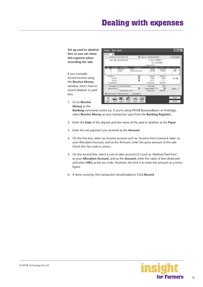# **Dealing with expenses**

**Set up yard or abattoir fees so you can show this expense when recording the sale**

If you normally record income using the **Receive Money**  window, here's how to record abattoir or yard fees:

|                   | ass in 14 Holly Talk |           | Twenty the bits and the |                       | 741         |
|-------------------|----------------------|-----------|-------------------------|-----------------------|-------------|
|                   | Africane (946)       |           |                         |                       |             |
|                   | arru<br>984          | a not los |                         | <b>DOM:</b><br>34.835 | <b>CONT</b> |
| $^{72}$<br>id Las |                      |           |                         | 64,746                |             |
|                   | <b>ESS</b>           |           | <b>Televille</b>        |                       |             |

1. Go to **Receive Money** in the

> **Banking** command centre (or, if you're using MYOB BusinessBasics or FirstEdge, select **Receive Money** as your transaction type from the **Banking Register**).

- 2. Enter the **Date** of the deposit and the name of the yard or abattoir as the **Payor**.
- 3. Enter the net payment you received as the **Amount**.
- 4. On the first line, select an income account such as 'Income from Livestock Sales' as your Allocation Account, and as the Amount, enter the gross amount of the sale. Check the Tax code is correct.
- 5. On the second line, select a cost of sales account (5-) such as 'Abattoir/Yard Fees' as your **Allocation Account,** and as the **Amount,** enter the value of fees deducted, and select **NEG** as the tax code. However, the trick is to enter this amount as a *minus* figure.
- 6. If done correctly, this transaction should balance! Click **Record**.

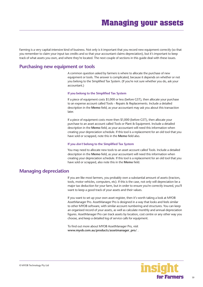<span id="page-18-0"></span>Farming is a very capital-intensive kind of business. Not only is it important that you record new equipment correctly (so that you remember to claim your input tax credits and so that your accountant claims depreciation), but it's important to keep track of what assets you own, and where they're located. The next couple of sections in this guide deal with these issues.

## **Purchasing new equipment or tools**

A common question asked by farmers is where to allocate the purchase of new equipment or tools. The answer is complicated, because it depends on whether or not you belong to the Simplified Tax System. (If you're not sure whether you do, ask your accountant.)

#### **If you belong to the Simplified Tax System**

If a piece of equipment costs \$1,000 or less (before GST), then allocate your purchase to an expense account called Tools – Repairs & Replacements. Include a detailed description in the **Memo** field, as your accountant may ask you about this transaction later.

If a piece of equipment costs more then \$1,000 (before GST), then allocate your purchase to an asset account called Tools or Plant & Equipment. Include a detailed description in the **Memo** field, as your accountant will need this information when creating your depreciation schedule. If this tool is a replacement for an old tool that you have sold or scrapped, note this in the **Memo** field also.

#### **If you** *don't* **belong to the Simplified Tax System**

You may need to allocate new tools to an asset account called Tools. Include a detailed description in the **Memo** field, as your accountant will need this information when creating your depreciation schedule. If this tool is a replacement for an old tool that you have sold or scrapped, also note this in the **Memo** field.

## **Managing depreciation**

If you are like most farmers, you probably own a substantial amount of assets (tractors, tools, motor vehicles, computers, etc). If this is the case, not only will depreciation be a major tax deduction for your farm, but in order to ensure you're correctly insured, you'll want to keep a good track of your assets and their values.

If you want to set up your own asset register, then it's worth taking a look at MYOB AssetManager Pro. AssetManager Pro is designed in a way that looks and feels similar to other MYOB software, with similar account numbering and structures. You can keep an organised record of your assets, as well as calculate monthly and annual depreciation figures. AssetManager Pro can track assets by location, cost centre or any other way you choose, and keep a detailed log of service calls for equipment.

To find out more about MYOB AssetManager Pro, visit **www.myob.com.au/products/assetmanager\_pro/** .

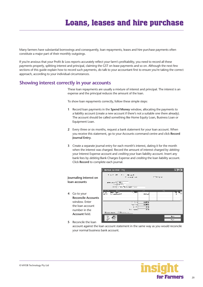# **Loans, leases and hire purchase**

<span id="page-19-0"></span>Many farmers have substantial borrowings and consequently, loan repayments, leases and hire purchase payments often constitute a major part of their monthly outgoings.

If you're anxious that your Profit & Loss reports accurately reflect your farm's profitability, you need to record all these payments properly, splitting interest and principal, claiming the GST on lease payments and so on. Although the next few sections of this guide explain how to record such payments, do talk to your accountant first to ensure you're taking the correct approach, according to your individual circumstances.

## **Showing interest correctly in your accounts**

These loan repayments are usually a mixture of interest and principal. The interest is an expense and the principal reduces the amount of the loan.

To show loan repayments correctly, follow these simple steps:

- **1** Record loan payments in the **Spend Money** window, allocating the payments to a liability account (create a new account if there's not a suitable one there already). The account should be called something like Home Equity Loan, Business Loan or Equipment Loan.
- **2** Every three or six months, request a bank statement for your loan account. When you receive this statement, go to your Accounts command centre and click **Record Journal Entry.**
- **3** Create a separate journal entry for each month's interest, dating it for the month when the interest was charged. Record the amount of interest charged by *debiting* your Interest Expense account and *crediting* your loan liability account. Insert any bank fees by *debiting* Bank Charges Expense and *crediting* the loan liability account. Click **Record** to complete each journal.

|                                         |                                                    | <b>In Remod Journal Litry</b>                                                                                                                                                        |        |
|-----------------------------------------|----------------------------------------------------|--------------------------------------------------------------------------------------------------------------------------------------------------------------------------------------|--------|
| Journaling interest on<br>loan accounts |                                                    | 医心脏 法自动的<br><b>Allegan Text</b><br>$T = 1 - \frac{1}{2} \left( \frac{1}{2} + \frac{1}{2} \right)$<br>aren asar India Attau<br>the last streets.<br>The class consumer companies of a | ロシック   |
| 4                                       | Go to your<br><b>Reconcile Accounts</b>            | $\cdots$<br>$\cdot$ .<br>$\cdots$<br>∙.चर<br><b>Property</b><br>᠇᠊<br>serb<br><b>HEGA</b><br>ta sanita 200                                                                           | ٠.     |
|                                         | window. Enter<br>the loan account<br>number in the | $\cdot$ $\cdot$ $\cdot$<br>HATT<br>tion from<br>11.775<br>$\mathbf{r}$<br>7H<br>7H<br>11.311                                                                                         |        |
|                                         | Account field.                                     | Myrdian is<br><b>Older wars</b>                                                                                                                                                      | bor.   |
| 5                                       | Reconcile the loan                                 |                                                                                                                                                                                      | $\sim$ |

account against the loan account statement in the same way as you would reconcile your normal business bank account.

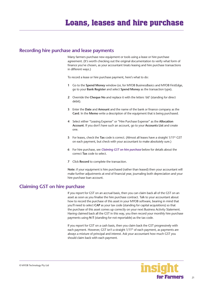## <span id="page-20-0"></span>**Recording hire purchase and lease payments**

Many farmers purchase new equipment or tools using a lease or hire purchase agreement. (It's worth checking out the original documentation to verify what form of finance you've chosen, as your accountant treats leasing and hire purchase transactions in different ways.)

To record a lease or hire purchase payment, here's what to do:

- **1** Go to the **Spend Money** window (or, for MYOB BusinessBasics and MYOB FirstEdge, go to your **Bank Register** and select **Spend Money** as the transaction type)**.**
- **2** Override the **Cheque No** and replace it with the letters 'dd' (standing for direct debit).
- **3** Enter the **Date** and **Amount** and the name of the bank or finance company as the **Card**. In the **Memo** write a description of the equipment that is being purchased.
- **4** Select either "Leasing Expense" or "Hire Purchase Expense" as the **Allocation Account**. If you don't have such an account, go to your **Accounts List** and create one.
- 5 For leases, check the Tax code is correct. (Almost all leases have a straight 1/11<sup>th</sup> GST on each payment, but check with your accountant to make absolutely sure.)
- **6** For hire purchase, see *Claiming GST on hire purchase* below for details about the correct **Tax** code to select.
- **7** Click **Record** to complete the transaction.

**Note:** if your equipment is hire purchased (rather than leased) then your accountant will make further adjustments at end of financial year, journaling both depreciation and your hire purchase loan account.

## **Claiming GST on hire purchase**

If you report for GST on an accrual basis, then you can claim back all of the GST on an asset as soon as you finalise the hire purchase contract. Talk to your accountant about how to record the purchase of this asset in your MYOB software, bearing in mind that you'll need to select **CAP** as your tax code (standing for capital acquisitions) so that the purchase of this asset comes up correctly on your next Business Activity Statement. Having claimed back all the GST in this way, you then record your monthly hire purchase payments using **N-T** (standing for not reportable) as the tax code.

If you report for GST on a cash basis, then you claim back the GST progressively with each payment. However, GST isn't a straight 1/11<sup>th</sup> of each payment, as payments are always a mixture of principal and interest. Ask your accountant how much GST you should claim back with each payment.

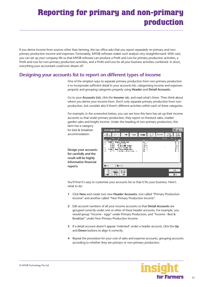# <span id="page-21-0"></span>**Reporting for primary and non-primary production**

If you derive income from sources other than farming, the tax office asks that you report separately on primary and nonprimary production income and expenses. Fortunately, MYOB software makes such analysis very straightforward. With care, you can set up your company file so that MYOB software can produce a Profit and Loss for primary production activities, a Profit and Loss for non-primary production activities, and a Profit and Loss for all your business activities combined. In short, everything your accountant could ever dream of!

# **Designing your accounts list to report on different types of income**

One of the simplest ways to separate primary production from non-primary production is to incorporate sufficient detail in your accounts list, categorising income and expenses properly and grouping categories properly using **Header** and **Detail Accounts**.

Go to your **Accounts List**, click the **Income** tab, and read what's there. Then think about where you derive your income from. Don't only separate primary production from nonproduction, but consider also if there's different activities within each of these categories.

For example, in the screenshot below, you can see how this farm has set up their income accounts so that under primary production, they report on livestock sales, market garden sales and freight income. Under the heading of non-primary production, this

farm has a category for bed & breakfast accommodation.

**Design your accounts list carefully and the result will be highly informative financial reports**



You'll find it's easy to customise your accounts list so that it fits your business. Here's what to do:

- **1** Click **New** and create two new **Header Accounts**: one called "Primary Production Income" and another called "Non Primary Production Income".
- **2** Edit account numbers of all your income accounts so that **Detail Accounts** are grouped correctly under one or other of these header accounts. For example, you would group "Income - eggs" under Primary Production, and "Income - Bed & Breakfast" under Non Primary Production Income.
- **3** If a detail account doesn't appear 'indented' under a header account, click the **Up** and **Down** buttons to align it correctly.
- **4** Repeat the procedure for your cost of sales and expense accounts, grouping accounts according to whether they are primary or non-primary production.

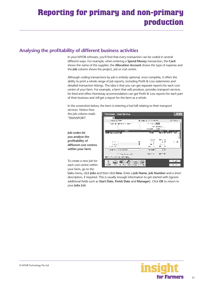# <span id="page-22-0"></span>**Reporting for primary and non-primary production**

# **Analysing the profitability of different business activities**

In your MYOB software, you'll find that every transaction can be coded in several different ways. For example, when entering a **Spend Money** transaction, the **Card**  shows the name of the supplier; the **Allocation Account** shows the type of expense and the **Job** column shows the project, job or cost centre.

Although coding transactions by job is entirely optional, once complete, it offers the ability to print a whole range of job reports, including Profit & Loss statements and detailed transaction listings. The idea is that you can get separate reports for each cost centre of your farm. For example, a farm that sells produce, provides transport services for feed and offers Homestay accommodation can get Profit & Loss reports for each part of their business and *still* get a report for the farm as a whole.

In the screenshot below, the farm is entering a fuel bill relating to their transport

services. Notice how the job column reads 'TRANSPORT'.

**Job codes let you analyse the profitability of different cost centres within your farm**

| Purchases - Hew Service              |                      |                                                       | - 83          |
|--------------------------------------|----------------------|-------------------------------------------------------|---------------|
| 회                                    |                      |                                                       |               |
| 1 waa ≯ [5#—                         | al the Allen Control |                                                       | E Traffent of |
| <b>Fight and Distribution Search</b> | <b>Lines Call</b>    |                                                       |               |
|                                      |                      | and developed                                         |               |
|                                      | Fourth 2016          |                                                       |               |
| Ė<br>lladi. Se nossa brazil          | Am and               | $\frac{1}{2}$ and $\frac{1}{2}$<br>III III SEYEKE KEL | ш             |
|                                      | 5 ac —               |                                                       |               |
|                                      |                      |                                                       |               |
|                                      | <b>THEFT</b>         | $111 - 11$                                            |               |
| 2.11                                 | $\cdots$             | - 11                                                  | . .           |
| Arrest F                             | $\sim$ $-$           | 111                                                   |               |
| 1.51.51                              | 17 1                 |                                                       |               |
| warm for a linear contactor          | has today []         | $\sim$ 1. $\mu$                                       |               |
| Figure 1. London 1                   | <b>Selection</b>     | $m_{\mu\nu}$                                          |               |
| 00 for the college of the class      |                      |                                                       |               |
|                                      |                      |                                                       |               |
|                                      |                      |                                                       | - 51          |
|                                      |                      |                                                       | $\cdots$      |

To create a new job for each cost centre within your farm, go to the

**Lists** menu, click **Jobs** and then click **New**. Enter a **Job Name**, **Job Number** and a short description, if required. This is usually enough information to get started with (ignore additional fields such as **Start Date**, **Finish Date** and **Manager**). Click **OK** to return to your **Jobs List**.

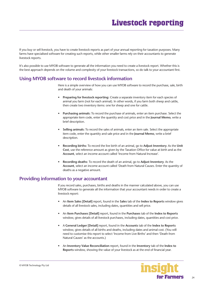<span id="page-23-0"></span>If you buy or sell livestock, you have to create livestock reports as part of your annual reporting for taxation purposes. Many farms have specialised software for creating such reports, while other smaller farms rely on their accountants to generate livestock reports.

It's also possible to use MYOB software to generate all the information you need to create a livestock report. Whether this is the best approach depends on the volume and complexity of your livestock transactions, so do talk to your accountant first.

# **Using MYOB software to record livestock information**

Here is a simple overview of how you can use MYOB software to record the purchase, sale, birth and death of your animals:

- **Preparing for livestock reporting:** Create a separate inventory item for each species of animal you farm (not for each animal). In other words, if you farm both sheep and cattle, then create two inventory items: one for sheep and one for cattle.
- **Purchasing animals:** To record the purchase of animals, enter an item purchase. Select the appropriate item code, enter the quantity and cost price and in the **Journal Memo**, write a brief description.
- **Selling animals:** To record the sales of animals, enter an item sale. Select the appropriate item code, enter the quantity and sale price and in the **Journal Memo**, write a brief description.
- **Recording births:** To record the live birth of an animal, go to **Adjust Inventory**. As the **Unit Cost**, use the reference amount as given by the Taxation Office for value at birth and as the **Account**, select an income account called 'Income from Natural Increase'.
- **Recording deaths**: To record the death of an animal, go to **Adjust Inventory**. As the **Account**, select an income account called 'Death from Natural Causes. Enter the quantity of deaths as a negative amount.

# **Providing information to your accountant**

If you record sales, purchases, births and deaths in the manner calculated above, you can use MYOB software to generate all the information that your accountant needs in order to create a livestock report:

- An **Item Sales [Detail]** report, found in the **Sales** tab of the **Index to Reports** window gives details of all livestock sales, including dates, quantities and sell price.
- An **Item Purchases [Detail]** report, found in the **Purchases** tab of the **Index to Reports** window, gives details of all livestock purchases, including dates, quantities and cost price.
- A **General Ledger [Detail]** report, found in the **Accounts** tab of the **Index to Reports** window, gives details of all births and deaths, including dates and animal cost. (You will need to customise this report to select 'Income from Live Births' and then 'Death from Natural Causes' as the accounts.)
- An **Inventory Value Reconciliation** report, found in the **Inventory** tab of the **Index to Reports** window, showing the value of your livestock as at the end of financial year.

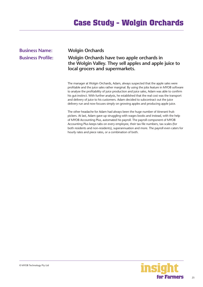# **Case Study - Wolgin Orchards**

<span id="page-24-0"></span>

| <b>Business Name:</b>    | <b>Wolgin Orchards</b>                                                                                                                                                         |
|--------------------------|--------------------------------------------------------------------------------------------------------------------------------------------------------------------------------|
| <b>Business Profile:</b> | Wolgin Orchards have two apple orchards in<br>the Wolgin Valley. They sell apples and apple juice to<br>local grocers and supermarkets.                                        |
|                          | The manager at Wolgin Orchards, Adam, always suspected that the apple sales were<br>profitable and the juice sales rather marginal. By using the jobs foature in MVOR settware |

profitable and the juice sales rather marginal. By using the jobs feature in MYOB software to analyse the profitability of juice production and juice sales, Adam was able to confirm his gut-instinct. With further analysis, he established that the real cost was the transport and delivery of juice to his customers. Adam decided to subcontract out the juice delivery run and now focuses simply on growing apples and producing apple juice.

The other headache for Adam had always been the huge number of itinerant fruitpickers. At last, Adam gave up struggling with wages books and instead, with the help of MYOB Accounting Plus, automated his payroll. The payroll component of MYOB Accounting Plus keeps tabs on every employee, their tax file numbers, tax scales (for both residents and non-residents), superannuation and more. The payroll even caters for hourly rates and piece rates, or a combination of both.

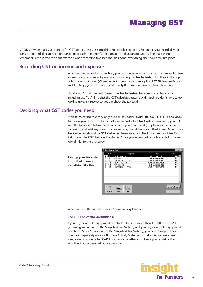# **Managing GST**

<span id="page-25-0"></span>MYOB software makes accounting for GST about as easy as something so complex could be. So long as you record all your transactions and allocate the right tax code to each one, there's not a great deal that can go wrong. The main thing to remember is to allocate the right tax code when recording transactions. This done, everything else should fall into place.

# **Recording GST on income and expenses**

Whenever you record a transaction, you can choose whether to enter the amount as taxinclusive or tax-exclusive by marking or clearing the **Tax Inclusive** checkbox in the top right of every window. (When recording payments or receipts in MYOB BusinessBasics and FirstEdge, you may have to click the **Split** button in order to view this option.)

Usually, you'll find it easiest to mark the **Tax Inclusive** checkbox and enter all amounts including tax. You'll find that the GST calculates automatically and you don't have to go looking up every receipt to double-check the tax total.

## **Deciding what GST codes you need**

Most farmers find that they only need six tax codes: **CAP**; **FRE**; **GST**; **ITS**; **N-T** and **QUE**. To review your codes, go to the **Lists** menu and select **Tax Codes**. Comparing your list with the list shown below, delete any codes you don't need (they'll only serve to cause confusion) and add any codes that are missing. For all tax codes, the **Linked Account for Tax Collected** should be **GST Collected from Sales** and the **Linked Account for Tax Paid** should be **GST Paid on Purchases**. Once you're finished, your tax code list should look similar to the one below:

**Tidy up your tax code list so that it looks something like this**



What do the different codes mean? Here's an explanation:

#### **CAP (GST on capital acquisitions)**

If you buy new tools, equipment or vehicles that cost more than \$1,000 before GST (assuming you're part of the Simplified Tax System) or if you buy new tools, equipment or vehicles (if you're not part of the Simplified Tax System), you need to report these purchases separately on your Business Activity Statement. To do this, you may need a separate tax code called **CAP**. If you're not whether or not sure you're part of the Simplified Tax System, ask your accountant.

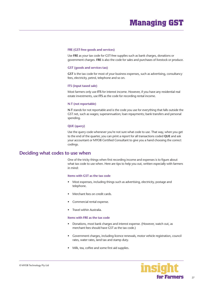#### <span id="page-26-0"></span>**FRE (GST-free goods and services)**

Use **FRE** as your tax code for GST-free supplies such as bank charges, donations or government charges. **FRE** is also the code for sales and purchases of livestock or produce.

#### **GST (goods and services tax)**

**GST** is the tax code for most of your business expenses, such as advertising, consultancy fees, electricity, petrol, telephone and so on.

#### **ITS (input taxed sale)**

Most farmers only use **ITS** for interest income. However, if you have any residential real estate investments, use **ITS** as the code for recording rental income.

#### **N-T (not reportable)**

**N-T** stands for not reportable and is the code you use for everything that falls outside the GST net, such as wages; superannuation; loan repayments; bank transfers and personal spending.

#### **QUE (query)**

Use the query code whenever you're not sure what code to use. That way, when you get to the end of the quarter, you can print a report for all transactions coded **QUE** and ask your accountant or MYOB Certified Consultant to give you a hand choosing the correct codings.

## **Deciding what codes to use when**

One of the tricky things when first recording income and expenses is to figure about what tax code to use when. Here are tips to help you out, written especially with farmers in mind:

#### **Items with GST as the tax code**

- Most expenses, including things such as advertising, electricity, postage and telephone.
- Merchant fees on credit cards.
- Commercial rental expense.
- Travel within Australia.

#### **Items with FRE as the tax code**

- Donations, most bank charges and interest expense. (However, watch out, as merchant fees should have GST as the tax code.)
- Government charges, including licence renewals, motor vehicle registration, council rates, water rates, land tax and stamp duty.
- Milk, tea, coffee and some first aid supplies.

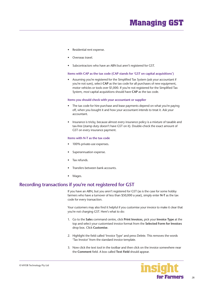- <span id="page-27-0"></span>• Residential rent expense.
- Overseas travel.
- Subcontractors who have an ABN but aren't registered for GST.

#### **Items with CAP as the tax code (CAP stands for 'GST on capital acquisitions')**

• Assuming you're registered for the Simplified Tax System (ask your accountant if you're not sure), select **CAP** as the tax code for all purchases of new equipment, motor vehicles or tools over \$1,000. If you're not registered for the Simplified Tax System, *most* capital acquisitions should have **CAP** as the tax code.

#### **Items you should check with your accountant or supplier**

- The tax code for hire purchase and lease payments depend on what you're paying off, when you bought it and how your accountant intends to treat it. Ask your accountant.
- Insurance is tricky, because almost every insurance policy is a mixture of taxable and tax-free (stamp duty doesn't have GST on it). Double-check the exact amount of GST on every insurance payment.

#### **Items with N-T as the tax code**

- 100% private-use expenses**.**
- Superannuation expense.
- Tax refunds.
- Transfers between bank accounts.
- Wages.

## **Recording transactions if you're not registered for GST**

If you have an ABN, but you aren't registered for GST (as is the case for some hobby farmers who have a turnover of less than \$50,000 a year), simply enter **N-T** as the tax code for every transaction.

Your customers may also find it helpful if you customise your invoice to make it clear that you're not charging GST. Here's what to do:

- 1. Go to the **Sales** command centre, click **Print Invoices**, pick your **Invoice Type** at the top and select your customised invoice format from the **Selected Form for Invoices**  drop box. Click **Customise**.
- 2. Highlight the field called 'Invoice Type' and press Delete. This removes the words 'Tax Invoice' from the standard invoice template.
- 3. Now click the text tool in the toolbar and then click on the invoice somewhere near the **Comment** field. A box called **Text Field** should appear.

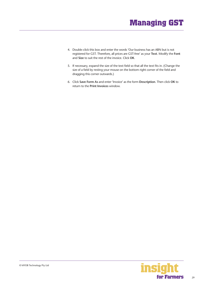# **Managing GST**

- 4. Double-click this box and enter the words 'Our business has an ABN but is not registered for GST. Therefore, all prices are GST-free' as your **Text**. Modify the **Font**  and **Size** to suit the rest of the invoice. Click **OK**.
- 5. If necessary, expand the size of the text field so that all the text fits in. (Change the size of a field by resting your mouse on the bottom right corner of the field and dragging this corner outwards.)
- 6. Click **Save Form As** and enter 'Invoice' as the form **Description**. Then click **OK** to return to the **Print Invoices** window.

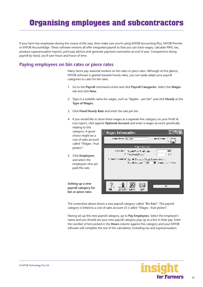# <span id="page-29-0"></span>**Organising employees and subcontractors**

If your farm has employees during the course of the year, then make sure you're using MYOB Accounting Plus, MYOB Premier or MYOB AccountEdge. These software versions all offer integrated payroll so that you can track wages, calculate PAYG tax, produce superannuation reports, print pay advices and generate payment summaries at end of year. Compared to doing payroll by hand, you'll save hours and hours of time.

## **Paying employees on bin rates or piece rates**

Many farms pay seasonal workers on bin rates or piece rates. Although at first glance, MYOB software is geared towards hourly rates, you can easily adapt your payroll categories to cater for bin rates.

- 1. Go to the **Payroll** command centre and click **Payroll Categories**. Select the **Wages**  tab and click **New**.
- 2. Type in a suitable name for wages, such as "Apples per bin" and click **Hourly** as the **Type of Wages**.
- 3. Click **Fixed Hourly Rate** and enter the rate per bin.
- 4. If you would like to show these wages as a separate line category on your Profit & Loss report, click against **Optional Account** and enter a wages account specifically

**Wages Information** WAW Nevy His Isla

relating to this category. A good choice might be a cost of sales account called "Wages - fruit pickers".

Wagoy ata naiki That Media Regular Play Maria La Igo 000E **Ziper Fort Fox:** v zet 5. Click **Employees**  ) many Arrestric  $\mathcal{Q}$  ,  $\mathcal{Q}_{2n}$  ide Equipped Wage Expendence . ( ) and select the Dec. Me Account. FRIDE TILL Newport is a three will employees who are paid this rate. **Setting up a new**  3 Ш э٨ Ū. **payroll category for**  . YOOMS Lyeve: h.w **bin or piece rates**

The screenshot above shows a new payroll category called "Bin Rate". This payroll category is linked to a cost of sales account (5-) called "Wages - fruit pickers".

Having set up this new payroll category, go to **Pay Employees**. Select the employee's name and you should see your new payroll category pop up as a line in their pay. Enter the number of bins picked in the **Hours** column against this category and your MYOB software will complete the rest of the calculation, including tax and superannuation.



Seev

F but

aw ol wrege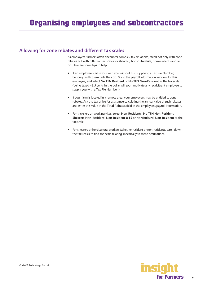# <span id="page-30-0"></span>**Allowing for zone rebates and different tax scales**

As employers, farmers often encounter complex tax situations, faced not only with zone rebates but with different tax scales for shearers, horticulturalists, non-residents and so on. Here are some tips to help:

- If an employee starts work with you without first supplying a Tax File Number, be tough with them until they do. Go to the payroll information window for this employee, and select **No TFN Resident** or **No TFN Non-Resident** as the tax scale (being taxed 48.5 cents in the dollar will soon motivate any recalcitrant employee to supply you with a Tax File Number!)
- If your farm is located in a remote area, your employees may be entitled to zone rebates. Ask the tax office for assistance calculating the annual value of such rebates and enter this value in the **Total Rebates** field in the employee's payroll information.
- For travellers on working visas, select **Non-Residents**, **No TFN Non-Resident**, **Shearers Non-Resident**, **Non-Resident & FS** or **Horticultural Non-Resident** as the tax scale.
- For shearers or horticultural workers (whether resident or non-resident), scroll down the tax scales to find the scale relating specifically to these occupations.